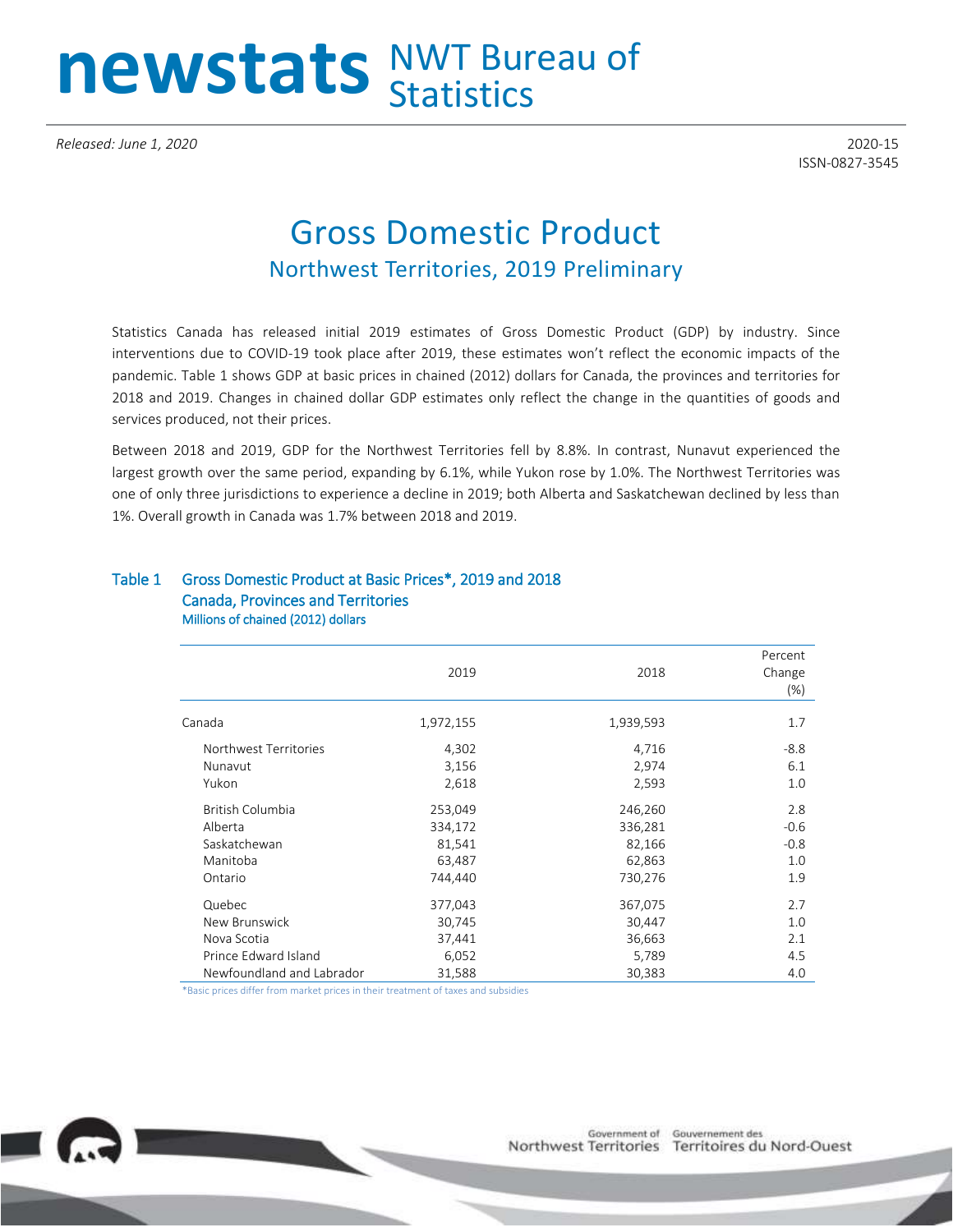## newstats NWT Bureau of

*Released: June 1, 2020* 2020-15

ISSN-0827-3545

## Gross Domestic Product Northwest Territories, 2019 Preliminary

Statistics Canada has released initial 2019 estimates of Gross Domestic Product (GDP) by industry. Since interventions due to COVID-19 took place after 2019, these estimates won't reflect the economic impacts of the pandemic. Table 1 shows GDP at basic prices in chained (2012) dollars for Canada, the provinces and territories for 2018 and 2019. Changes in chained dollar GDP estimates only reflect the change in the quantities of goods and services produced, not their prices.

Between 2018 and 2019, GDP for the Northwest Territories fell by 8.8%. In contrast, Nunavut experienced the largest growth over the same period, expanding by 6.1%, while Yukon rose by 1.0%. The Northwest Territories was one of only three jurisdictions to experience a decline in 2019; both Alberta and Saskatchewan declined by less than 1%. Overall growth in Canada was 1.7% between 2018 and 2019.

## Table 1 Gross Domestic Product at Basic Prices\*, 2019 and 2018 Canada, Provinces and Territories Millions of chained (2012) dollars

|                           | 2019      | 2018      | Percent<br>Change<br>$(\%)$ |
|---------------------------|-----------|-----------|-----------------------------|
| Canada                    | 1,972,155 | 1,939,593 | 1.7                         |
| Northwest Territories     | 4,302     | 4,716     | $-8.8$                      |
| Nunavut                   | 3,156     | 2,974     | 6.1                         |
| Yukon                     | 2,618     | 2,593     | 1.0                         |
| British Columbia          | 253,049   | 246,260   | 2.8                         |
| Alberta                   | 334,172   | 336,281   | $-0.6$                      |
| Saskatchewan              | 81,541    | 82,166    | $-0.8$                      |
| Manitoba                  | 63,487    | 62,863    | 1.0                         |
| Ontario                   | 744,440   | 730,276   | 1.9                         |
| Quebec                    | 377,043   | 367,075   | 2.7                         |
| New Brunswick             | 30,745    | 30,447    | 1.0                         |
| Nova Scotia               | 37,441    | 36,663    | 2.1                         |
| Prince Edward Island      | 6,052     | 5,789     | 4.5                         |
| Newfoundland and Labrador | 31,588    | 30,383    | 4.0                         |

\*Basic prices differ from market prices in their treatment of taxes and subsidies

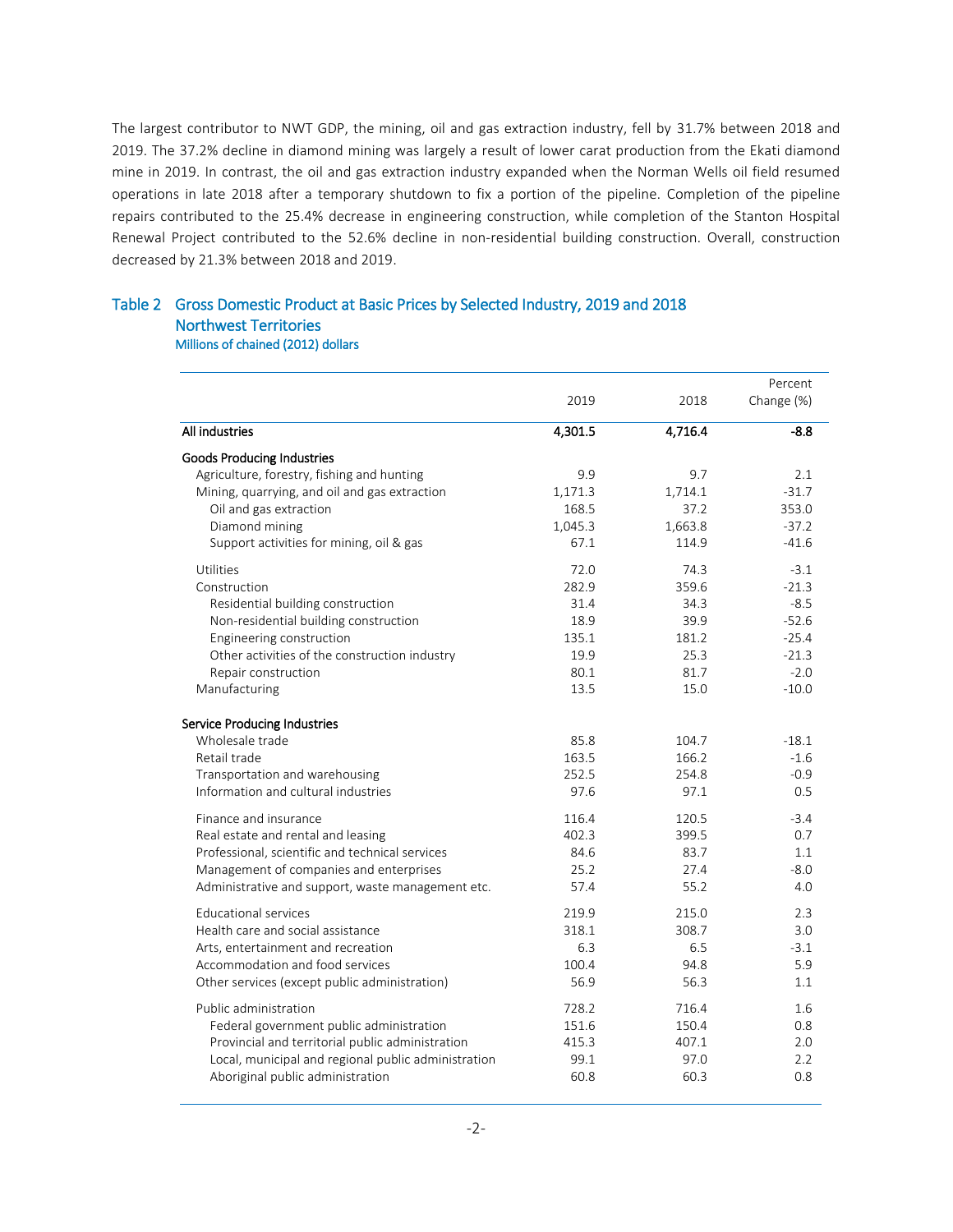The largest contributor to NWT GDP, the mining, oil and gas extraction industry, fell by 31.7% between 2018 and 2019. The 37.2% decline in diamond mining was largely a result of lower carat production from the Ekati diamond mine in 2019. In contrast, the oil and gas extraction industry expanded when the Norman Wells oil field resumed operations in late 2018 after a temporary shutdown to fix a portion of the pipeline. Completion of the pipeline repairs contributed to the 25.4% decrease in engineering construction, while completion of the Stanton Hospital Renewal Project contributed to the 52.6% decline in non-residential building construction. Overall, construction decreased by 21.3% between 2018 and 2019.

## Table 2 Gross Domestic Product at Basic Prices by Selected Industry, 2019 and 2018 Northwest Territories Millions of chained (2012) dollars

|                                                     |         |         | Percent    |
|-----------------------------------------------------|---------|---------|------------|
|                                                     | 2019    | 2018    | Change (%) |
| All industries                                      | 4,301.5 | 4,716.4 | $-8.8$     |
| Goods Producing Industries                          |         |         |            |
| Agriculture, forestry, fishing and hunting          | 9.9     | 9.7     | 2.1        |
| Mining, quarrying, and oil and gas extraction       | 1,171.3 | 1,714.1 | $-31.7$    |
| Oil and gas extraction                              | 168.5   | 37.2    | 353.0      |
| Diamond mining                                      | 1,045.3 | 1,663.8 | $-37.2$    |
| Support activities for mining, oil & gas            | 67.1    | 114.9   | $-41.6$    |
| Utilities                                           | 72.0    | 74.3    | $-3.1$     |
| Construction                                        | 282.9   | 359.6   | $-21.3$    |
| Residential building construction                   | 31.4    | 34.3    | $-8.5$     |
| Non-residential building construction               | 18.9    | 39.9    | $-52.6$    |
| Engineering construction                            | 135.1   | 181.2   | $-25.4$    |
| Other activities of the construction industry       | 19.9    | 25.3    | $-21.3$    |
| Repair construction                                 | 80.1    | 81.7    | $-2.0$     |
| Manufacturing                                       | 13.5    | 15.0    | $-10.0$    |
| <b>Service Producing Industries</b>                 |         |         |            |
| Wholesale trade                                     | 85.8    | 104.7   | $-18.1$    |
| Retail trade                                        | 163.5   | 166.2   | $-1.6$     |
| Transportation and warehousing                      | 252.5   | 254.8   | $-0.9$     |
| Information and cultural industries                 | 97.6    | 97.1    | 0.5        |
| Finance and insurance                               | 116.4   | 120.5   | $-3.4$     |
| Real estate and rental and leasing                  | 402.3   | 399.5   | 0.7        |
| Professional, scientific and technical services     | 84.6    | 83.7    | 1.1        |
| Management of companies and enterprises             | 25.2    | 27.4    | $-8.0$     |
| Administrative and support, waste management etc.   | 57.4    | 55.2    | 4.0        |
| Educational services                                | 219.9   | 215.0   | 2.3        |
| Health care and social assistance                   | 318.1   | 308.7   | 3.0        |
| Arts, entertainment and recreation                  | 6.3     | 6.5     | $-3.1$     |
| Accommodation and food services                     | 100.4   | 94.8    | 5.9        |
| Other services (except public administration)       | 56.9    | 56.3    | 1.1        |
| Public administration                               | 728.2   | 716.4   | 1.6        |
| Federal government public administration            | 151.6   | 150.4   | 0.8        |
| Provincial and territorial public administration    | 415.3   | 407.1   | 2.0        |
| Local, municipal and regional public administration | 99.1    | 97.0    | 2.2        |
| Aboriginal public administration                    | 60.8    | 60.3    | 0.8        |